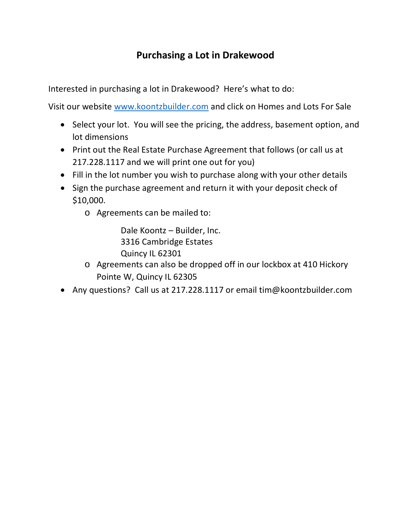## **Purchasing a Lot in Drakewood**

Interested in purchasing a lot in Drakewood? Here's what to do:

Visit our website [www.koontzbuilder.com](http://www.koontzbuilder.com/) and click on Homes and Lots For Sale

- Select your lot. You will see the pricing, the address, basement option, and lot dimensions
- Print out the Real Estate Purchase Agreement that follows (or call us at 217.228.1117 and we will print one out for you)
- Fill in the lot number you wish to purchase along with your other details
- Sign the purchase agreement and return it with your deposit check of \$10,000.
	- o Agreements can be mailed to:

Dale Koontz – Builder, Inc. 3316 Cambridge Estates Quincy IL 62301

- o Agreements can also be dropped off in our lockbox at 410 Hickory Pointe W, Quincy IL 62305
- Any questions? Call us at 217.228.1117 or email tim@koontzbuilder.com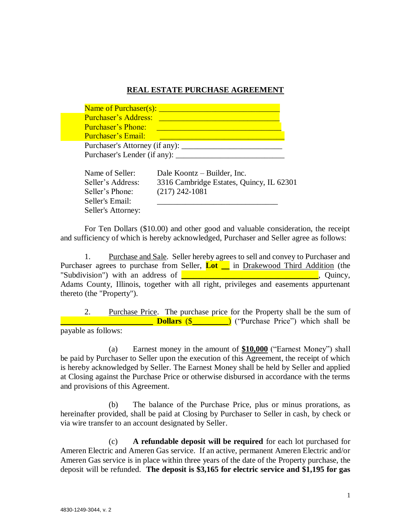## **REAL ESTATE PURCHASE AGREEMENT**

| <b>Purchaser's Address:</b><br><b>Purchaser's Phone:</b> |                              |  |  |
|----------------------------------------------------------|------------------------------|--|--|
|                                                          |                              |  |  |
|                                                          |                              |  |  |
| <b>Purchaser's Email:</b>                                |                              |  |  |
| Purchaser's Attorney (if any):                           |                              |  |  |
|                                                          |                              |  |  |
|                                                          | Purchaser's Lender (if any): |  |  |

| Name of Seller:    | Dale Koontz – Builder, Inc.              |
|--------------------|------------------------------------------|
| Seller's Address:  | 3316 Cambridge Estates, Quincy, IL 62301 |
| Seller's Phone:    | $(217)$ 242-1081                         |
| Seller's Email:    |                                          |
| Seller's Attorney: |                                          |

For Ten Dollars (\$10.00) and other good and valuable consideration, the receipt and sufficiency of which is hereby acknowledged, Purchaser and Seller agree as follows:

1. Purchase and Sale. Seller hereby agrees to sell and convey to Purchaser and Purchaser agrees to purchase from Seller, **Lot** in Drakewood Third Addition (the "Subdivision") with an address of  $\Box$ Adams County, Illinois, together with all right, privileges and easements appurtenant thereto (the "Property").

2. Purchase Price. The purchase price for the Property shall be the sum of **Dollars** (\$ ) ("Purchase Price") which shall be payable as follows:

(a) Earnest money in the amount of **\$10,000** ("Earnest Money") shall be paid by Purchaser to Seller upon the execution of this Agreement, the receipt of which is hereby acknowledged by Seller. The Earnest Money shall be held by Seller and applied at Closing against the Purchase Price or otherwise disbursed in accordance with the terms and provisions of this Agreement.

(b) The balance of the Purchase Price, plus or minus prorations, as hereinafter provided, shall be paid at Closing by Purchaser to Seller in cash, by check or via wire transfer to an account designated by Seller.

(c) **A refundable deposit will be required** for each lot purchased for Ameren Electric and Ameren Gas service. If an active, permanent Ameren Electric and/or Ameren Gas service is in place within three years of the date of the Property purchase, the deposit will be refunded. **The deposit is \$3,165 for electric service and \$1,195 for gas**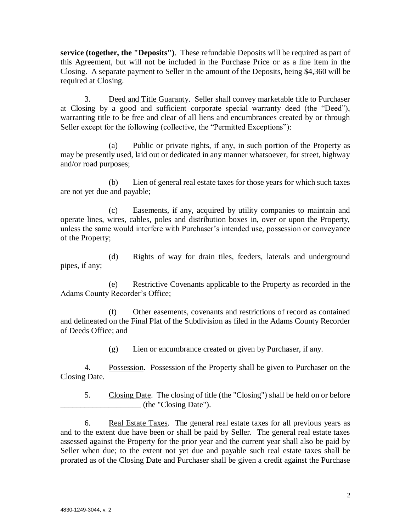**service (together, the "Deposits")**. These refundable Deposits will be required as part of this Agreement, but will not be included in the Purchase Price or as a line item in the Closing. A separate payment to Seller in the amount of the Deposits, being \$4,360 will be required at Closing.

3. Deed and Title Guaranty. Seller shall convey marketable title to Purchaser at Closing by a good and sufficient corporate special warranty deed (the "Deed"), warranting title to be free and clear of all liens and encumbrances created by or through Seller except for the following (collective, the "Permitted Exceptions"):

(a) Public or private rights, if any, in such portion of the Property as may be presently used, laid out or dedicated in any manner whatsoever, for street, highway and/or road purposes;

(b) Lien of general real estate taxes for those years for which such taxes are not yet due and payable;

(c) Easements, if any, acquired by utility companies to maintain and operate lines, wires, cables, poles and distribution boxes in, over or upon the Property, unless the same would interfere with Purchaser's intended use, possession or conveyance of the Property;

(d) Rights of way for drain tiles, feeders, laterals and underground pipes, if any;

(e) Restrictive Covenants applicable to the Property as recorded in the Adams County Recorder's Office;

(f) Other easements, covenants and restrictions of record as contained and delineated on the Final Plat of the Subdivision as filed in the Adams County Recorder of Deeds Office; and

(g) Lien or encumbrance created or given by Purchaser, if any.

4. Possession. Possession of the Property shall be given to Purchaser on the Closing Date.

5. Closing Date. The closing of title (the "Closing") shall be held on or before \_\_\_\_\_\_\_\_\_\_\_\_\_\_\_\_\_\_\_\_ (the "Closing Date").

6. Real Estate Taxes. The general real estate taxes for all previous years as and to the extent due have been or shall be paid by Seller. The general real estate taxes assessed against the Property for the prior year and the current year shall also be paid by Seller when due; to the extent not yet due and payable such real estate taxes shall be prorated as of the Closing Date and Purchaser shall be given a credit against the Purchase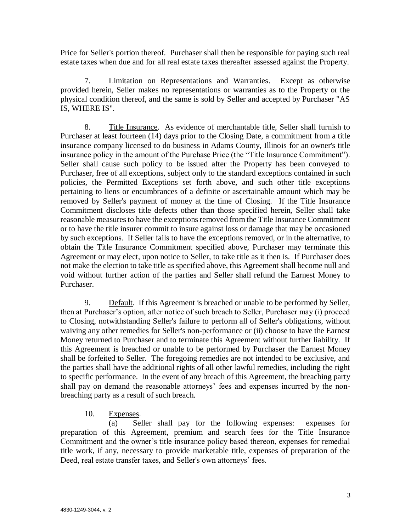Price for Seller's portion thereof. Purchaser shall then be responsible for paying such real estate taxes when due and for all real estate taxes thereafter assessed against the Property.

7. Limitation on Representations and Warranties. Except as otherwise provided herein, Seller makes no representations or warranties as to the Property or the physical condition thereof, and the same is sold by Seller and accepted by Purchaser "AS IS, WHERE IS".

8. Title Insurance. As evidence of merchantable title, Seller shall furnish to Purchaser at least fourteen (14) days prior to the Closing Date, a commitment from a title insurance company licensed to do business in Adams County, Illinois for an owner's title insurance policy in the amount of the Purchase Price (the "Title Insurance Commitment"). Seller shall cause such policy to be issued after the Property has been conveyed to Purchaser, free of all exceptions, subject only to the standard exceptions contained in such policies, the Permitted Exceptions set forth above, and such other title exceptions pertaining to liens or encumbrances of a definite or ascertainable amount which may be removed by Seller's payment of money at the time of Closing. If the Title Insurance Commitment discloses title defects other than those specified herein, Seller shall take reasonable measures to have the exceptions removed from the Title Insurance Commitment or to have the title insurer commit to insure against loss or damage that may be occasioned by such exceptions. If Seller fails to have the exceptions removed, or in the alternative, to obtain the Title Insurance Commitment specified above, Purchaser may terminate this Agreement or may elect, upon notice to Seller, to take title as it then is. If Purchaser does not make the election to take title as specified above, this Agreement shall become null and void without further action of the parties and Seller shall refund the Earnest Money to Purchaser.

9. Default. If this Agreement is breached or unable to be performed by Seller, then at Purchaser's option, after notice of such breach to Seller, Purchaser may (i) proceed to Closing, notwithstanding Seller's failure to perform all of Seller's obligations, without waiving any other remedies for Seller's non-performance or (ii) choose to have the Earnest Money returned to Purchaser and to terminate this Agreement without further liability. If this Agreement is breached or unable to be performed by Purchaser the Earnest Money shall be forfeited to Seller. The foregoing remedies are not intended to be exclusive, and the parties shall have the additional rights of all other lawful remedies, including the right to specific performance. In the event of any breach of this Agreement, the breaching party shall pay on demand the reasonable attorneys' fees and expenses incurred by the nonbreaching party as a result of such breach.

10. Expenses.

(a) Seller shall pay for the following expenses: expenses for preparation of this Agreement, premium and search fees for the Title Insurance Commitment and the owner's title insurance policy based thereon, expenses for remedial title work, if any, necessary to provide marketable title, expenses of preparation of the Deed, real estate transfer taxes, and Seller's own attorneys' fees.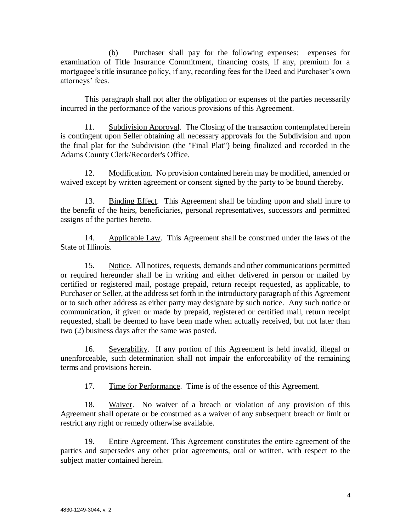(b) Purchaser shall pay for the following expenses: expenses for examination of Title Insurance Commitment, financing costs, if any, premium for a mortgagee's title insurance policy, if any, recording fees for the Deed and Purchaser's own attorneys' fees.

This paragraph shall not alter the obligation or expenses of the parties necessarily incurred in the performance of the various provisions of this Agreement.

11. Subdivision Approval. The Closing of the transaction contemplated herein is contingent upon Seller obtaining all necessary approvals for the Subdivision and upon the final plat for the Subdivision (the "Final Plat") being finalized and recorded in the Adams County Clerk/Recorder's Office.

12. Modification. No provision contained herein may be modified, amended or waived except by written agreement or consent signed by the party to be bound thereby.

13. Binding Effect. This Agreement shall be binding upon and shall inure to the benefit of the heirs, beneficiaries, personal representatives, successors and permitted assigns of the parties hereto.

14. Applicable Law. This Agreement shall be construed under the laws of the State of Illinois.

15. Notice. All notices, requests, demands and other communications permitted or required hereunder shall be in writing and either delivered in person or mailed by certified or registered mail, postage prepaid, return receipt requested, as applicable, to Purchaser or Seller, at the address set forth in the introductory paragraph of this Agreement or to such other address as either party may designate by such notice. Any such notice or communication, if given or made by prepaid, registered or certified mail, return receipt requested, shall be deemed to have been made when actually received, but not later than two (2) business days after the same was posted.

16. Severability. If any portion of this Agreement is held invalid, illegal or unenforceable, such determination shall not impair the enforceability of the remaining terms and provisions herein.

17. Time for Performance. Time is of the essence of this Agreement.

18. Waiver. No waiver of a breach or violation of any provision of this Agreement shall operate or be construed as a waiver of any subsequent breach or limit or restrict any right or remedy otherwise available.

19. Entire Agreement. This Agreement constitutes the entire agreement of the parties and supersedes any other prior agreements, oral or written, with respect to the subject matter contained herein.